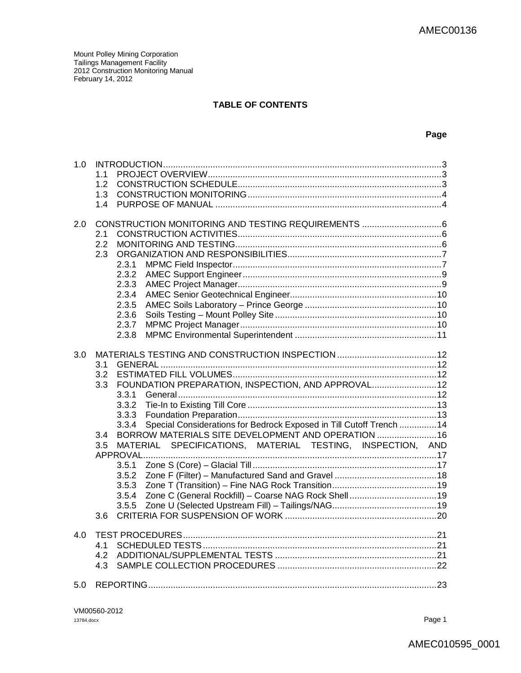#### **TABLE OF CONTENTS**

#### **Page**

| 1.0 |                                                                               |  |
|-----|-------------------------------------------------------------------------------|--|
|     | 1 <sub>1</sub>                                                                |  |
|     | 1.2                                                                           |  |
|     | 1.3                                                                           |  |
|     | 1.4                                                                           |  |
| 2.0 |                                                                               |  |
|     | 2.1                                                                           |  |
|     | 2.2                                                                           |  |
|     | 2.3                                                                           |  |
|     | 2.3.1                                                                         |  |
|     | 2.3.2                                                                         |  |
|     | 2.3.3                                                                         |  |
|     | 2.3.4                                                                         |  |
|     | 2.3.5                                                                         |  |
|     | 2.3.6                                                                         |  |
|     | 2.3.7                                                                         |  |
|     | 2.3.8                                                                         |  |
|     |                                                                               |  |
| 3.0 |                                                                               |  |
|     | 3.1                                                                           |  |
|     | 3.2                                                                           |  |
|     | FOUNDATION PREPARATION, INSPECTION, AND APPROVAL 12<br>3.3                    |  |
|     | 3.3.1                                                                         |  |
|     | 3.3.2                                                                         |  |
|     | 3.3.3                                                                         |  |
|     | Special Considerations for Bedrock Exposed in Till Cutoff Trench  14<br>3.3.4 |  |
|     | BORROW MATERIALS SITE DEVELOPMENT AND OPERATION  16<br>3.4                    |  |
|     | MATERIAL SPECIFICATIONS, MATERIAL TESTING, INSPECTION, AND<br>3.5             |  |
|     |                                                                               |  |
|     | 3.5.1                                                                         |  |
|     | 3.5.2                                                                         |  |
|     | 3.5.3                                                                         |  |
|     | 3.5.4                                                                         |  |
|     | 3.5.5                                                                         |  |
|     | 3.6                                                                           |  |
| 4.0 |                                                                               |  |
|     | 4.1                                                                           |  |
|     | 4.2                                                                           |  |
|     | 4.3                                                                           |  |
| 5.0 |                                                                               |  |
|     |                                                                               |  |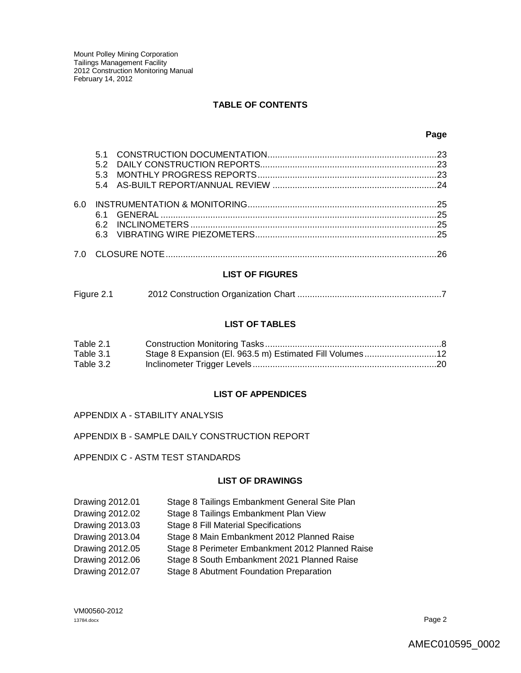#### **TABLE OF CONTENTS**

#### **LIST OF FIGURES**

| Figure 2.1 |  |
|------------|--|
|            |  |

#### **LIST OF TABLES**

| Table 2.1 |                                                          |  |
|-----------|----------------------------------------------------------|--|
| Table 3.1 | Stage 8 Expansion (El. 963.5 m) Estimated Fill Volumes12 |  |
| Table 3.2 |                                                          |  |

#### **LIST OF APPENDICES**

APPENDIX A - STABILITY ANALYSIS

APPENDIX B - SAMPLE DAILY CONSTRUCTION REPORT

APPENDIX C - ASTM TEST STANDARDS

#### **LIST OF DRAWINGS**

| Drawing 2012.01 | Stage 8 Tailings Embankment General Site Plan   |
|-----------------|-------------------------------------------------|
| Drawing 2012.02 | Stage 8 Tailings Embankment Plan View           |
| Drawing 2013.03 | <b>Stage 8 Fill Material Specifications</b>     |
| Drawing 2013.04 | Stage 8 Main Embankment 2012 Planned Raise      |
| Drawing 2012.05 | Stage 8 Perimeter Embankment 2012 Planned Raise |
| Drawing 2012.06 | Stage 8 South Embankment 2021 Planned Raise     |
| Drawing 2012.07 | Stage 8 Abutment Foundation Preparation         |

VM00560-2012 13784.docx Page 2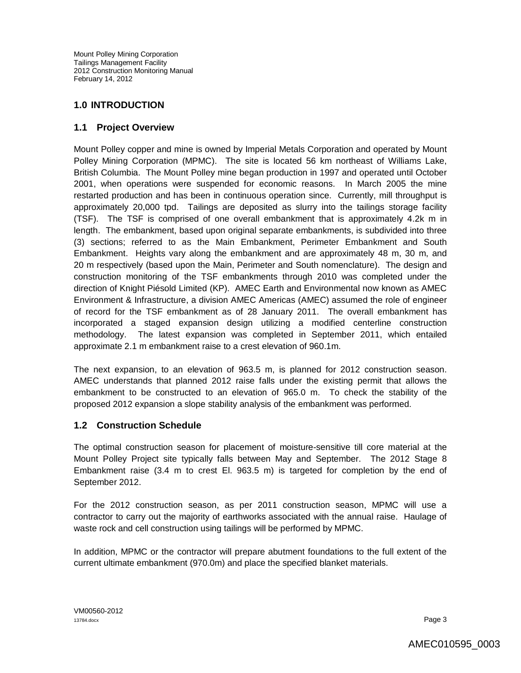### **1.0 INTRODUCTION**

### **1.1 Project Overview**

Mount Polley copper and mine is owned by Imperial Metals Corporation and operated by Mount Polley Mining Corporation (MPMC). The site is located 56 km northeast of Williams Lake, British Columbia. The Mount Polley mine began production in 1997 and operated until October 2001, when operations were suspended for economic reasons. In March 2005 the mine restarted production and has been in continuous operation since. Currently, mill throughput is approximately 20,000 tpd. Tailings are deposited as slurry into the tailings storage facility (TSF). The TSF is comprised of one overall embankment that is approximately 4.2k m in length. The embankment, based upon original separate embankments, is subdivided into three (3) sections; referred to as the Main Embankment, Perimeter Embankment and South Embankment. Heights vary along the embankment and are approximately 48 m, 30 m, and 20 m respectively (based upon the Main, Perimeter and South nomenclature). The design and construction monitoring of the TSF embankments through 2010 was completed under the direction of Knight Piésold Limited (KP). AMEC Earth and Environmental now known as AMEC Environment & Infrastructure, a division AMEC Americas (AMEC) assumed the role of engineer of record for the TSF embankment as of 28 January 2011. The overall embankment has incorporated a staged expansion design utilizing a modified centerline construction methodology. The latest expansion was completed in September 2011, which entailed approximate 2.1 m embankment raise to a crest elevation of 960.1m.

The next expansion, to an elevation of 963.5 m, is planned for 2012 construction season. AMEC understands that planned 2012 raise falls under the existing permit that allows the embankment to be constructed to an elevation of 965.0 m. To check the stability of the proposed 2012 expansion a slope stability analysis of the embankment was performed.

### **1.2 Construction Schedule**

The optimal construction season for placement of moisture-sensitive till core material at the Mount Polley Project site typically falls between May and September. The 2012 Stage 8 Embankment raise (3.4 m to crest El. 963.5 m) is targeted for completion by the end of September 2012.

For the 2012 construction season, as per 2011 construction season, MPMC will use a contractor to carry out the majority of earthworks associated with the annual raise. Haulage of waste rock and cell construction using tailings will be performed by MPMC.

In addition, MPMC or the contractor will prepare abutment foundations to the full extent of the current ultimate embankment (970.0m) and place the specified blanket materials.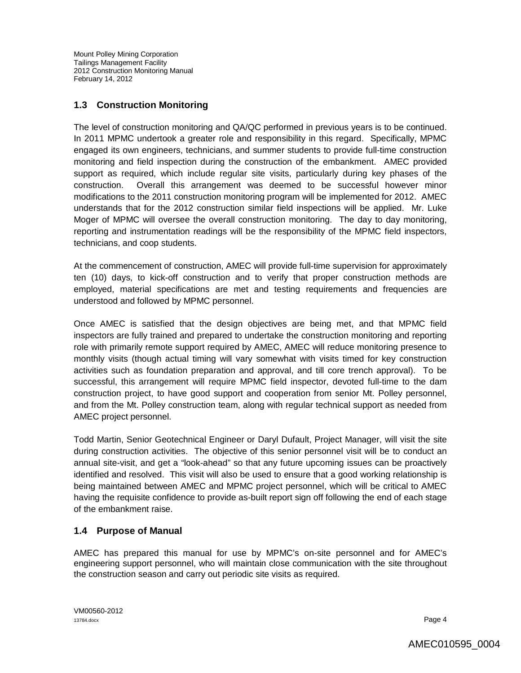# **1.3 Construction Monitoring**

The level of construction monitoring and QA/QC performed in previous years is to be continued. In 2011 MPMC undertook a greater role and responsibility in this regard. Specifically, MPMC engaged its own engineers, technicians, and summer students to provide full-time construction monitoring and field inspection during the construction of the embankment. AMEC provided support as required, which include regular site visits, particularly during key phases of the construction. Overall this arrangement was deemed to be successful however minor modifications to the 2011 construction monitoring program will be implemented for 2012. AMEC understands that for the 2012 construction similar field inspections will be applied. Mr. Luke Moger of MPMC will oversee the overall construction monitoring. The day to day monitoring, reporting and instrumentation readings will be the responsibility of the MPMC field inspectors, technicians, and coop students.

At the commencement of construction, AMEC will provide full-time supervision for approximately ten (10) days, to kick-off construction and to verify that proper construction methods are employed, material specifications are met and testing requirements and frequencies are understood and followed by MPMC personnel.

Once AMEC is satisfied that the design objectives are being met, and that MPMC field inspectors are fully trained and prepared to undertake the construction monitoring and reporting role with primarily remote support required by AMEC, AMEC will reduce monitoring presence to monthly visits (though actual timing will vary somewhat with visits timed for key construction activities such as foundation preparation and approval, and till core trench approval). To be successful, this arrangement will require MPMC field inspector, devoted full-time to the dam construction project, to have good support and cooperation from senior Mt. Polley personnel, and from the Mt. Polley construction team, along with regular technical support as needed from AMEC project personnel.

Todd Martin, Senior Geotechnical Engineer or Daryl Dufault, Project Manager, will visit the site during construction activities. The objective of this senior personnel visit will be to conduct an annual site-visit, and get a "look-ahead" so that any future upcoming issues can be proactively identified and resolved. This visit will also be used to ensure that a good working relationship is being maintained between AMEC and MPMC project personnel, which will be critical to AMEC having the requisite confidence to provide as-built report sign off following the end of each stage of the embankment raise.

### **1.4 Purpose of Manual**

AMEC has prepared this manual for use by MPMC's on-site personnel and for AMEC's engineering support personnel, who will maintain close communication with the site throughout the construction season and carry out periodic site visits as required.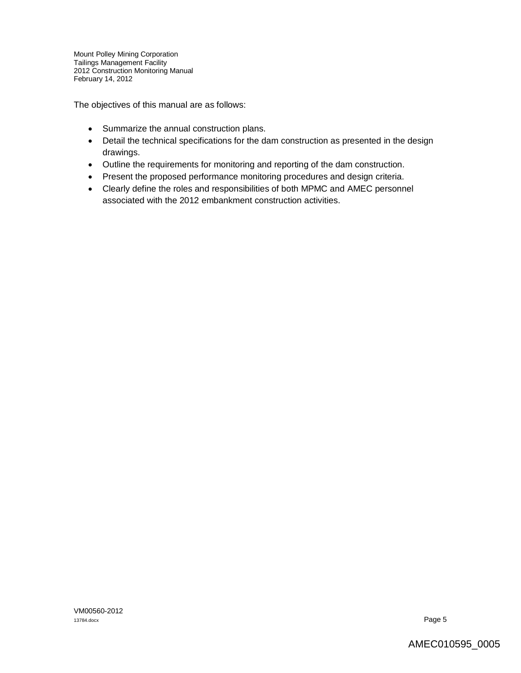The objectives of this manual are as follows:

- Summarize the annual construction plans.
- Detail the technical specifications for the dam construction as presented in the design drawings.
- Outline the requirements for monitoring and reporting of the dam construction.
- Present the proposed performance monitoring procedures and design criteria.
- Clearly define the roles and responsibilities of both MPMC and AMEC personnel associated with the 2012 embankment construction activities.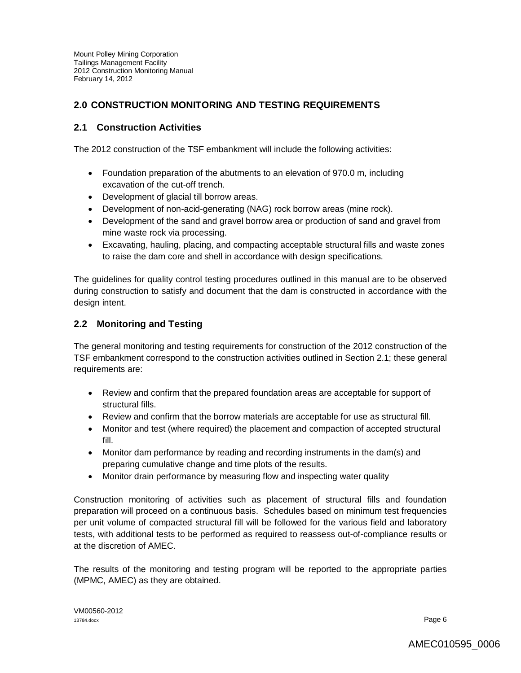### **2.0 CONSTRUCTION MONITORING AND TESTING REQUIREMENTS**

### **2.1 Construction Activities**

The 2012 construction of the TSF embankment will include the following activities:

- Foundation preparation of the abutments to an elevation of 970.0 m, including excavation of the cut-off trench.
- Development of glacial till borrow areas.
- Development of non-acid-generating (NAG) rock borrow areas (mine rock).
- Development of the sand and gravel borrow area or production of sand and gravel from mine waste rock via processing.
- Excavating, hauling, placing, and compacting acceptable structural fills and waste zones to raise the dam core and shell in accordance with design specifications.

The guidelines for quality control testing procedures outlined in this manual are to be observed during construction to satisfy and document that the dam is constructed in accordance with the design intent.

### **2.2 Monitoring and Testing**

The general monitoring and testing requirements for construction of the 2012 construction of the TSF embankment correspond to the construction activities outlined in Section 2.1; these general requirements are:

- Review and confirm that the prepared foundation areas are acceptable for support of structural fills.
- Review and confirm that the borrow materials are acceptable for use as structural fill.
- Monitor and test (where required) the placement and compaction of accepted structural fill.
- Monitor dam performance by reading and recording instruments in the dam(s) and preparing cumulative change and time plots of the results.
- Monitor drain performance by measuring flow and inspecting water quality

Construction monitoring of activities such as placement of structural fills and foundation preparation will proceed on a continuous basis. Schedules based on minimum test frequencies per unit volume of compacted structural fill will be followed for the various field and laboratory tests, with additional tests to be performed as required to reassess out-of-compliance results or at the discretion of AMEC.

The results of the monitoring and testing program will be reported to the appropriate parties (MPMC, AMEC) as they are obtained.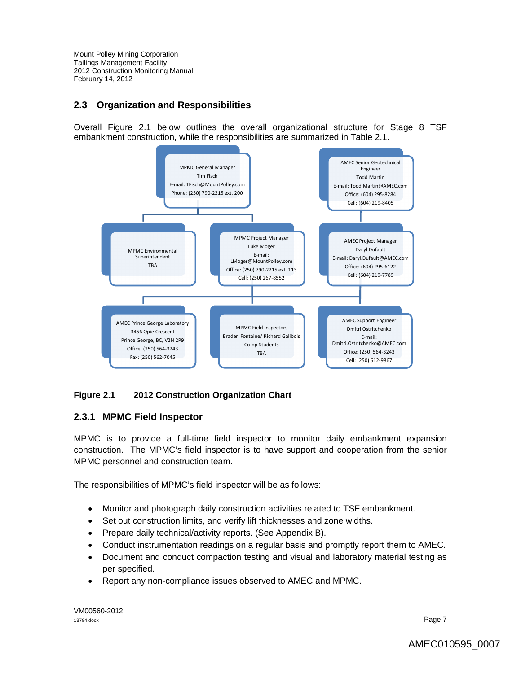### **2.3 Organization and Responsibilities**

Overall Figure 2.1 below outlines the overall organizational structure for Stage 8 TSF embankment construction, while the responsibilities are summarized in Table 2.1.



### **Figure 2.1 2012 Construction Organization Chart**

### **2.3.1 MPMC Field Inspector**

MPMC is to provide a full-time field inspector to monitor daily embankment expansion construction. The MPMC's field inspector is to have support and cooperation from the senior MPMC personnel and construction team.

The responsibilities of MPMC's field inspector will be as follows:

- Monitor and photograph daily construction activities related to TSF embankment.
- Set out construction limits, and verify lift thicknesses and zone widths.
- Prepare daily technical/activity reports. (See Appendix B).
- Conduct instrumentation readings on a regular basis and promptly report them to AMEC.
- Document and conduct compaction testing and visual and laboratory material testing as per specified.
- Report any non-compliance issues observed to AMEC and MPMC.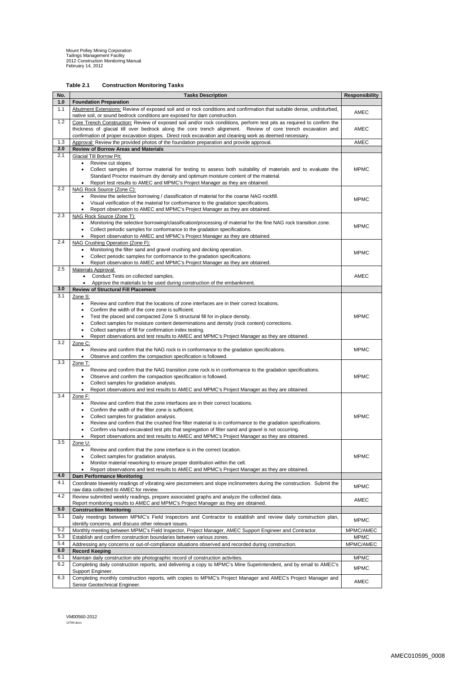VM00560-2012 13784.docx

# **Table 2.1 Construction Monitoring Tasks**

| No.        | <b>Tasks Description</b>                                                                                                                                                                            | <b>Responsibility</b> |
|------------|-----------------------------------------------------------------------------------------------------------------------------------------------------------------------------------------------------|-----------------------|
| 1.0        | <b>Foundation Preparation</b>                                                                                                                                                                       |                       |
| 1.1        | Abutment Extensions: Review of exposed soil and or rock conditions and confirmation that suitable dense, undisturbed,<br>native soil, or sound bedrock conditions are exposed for dam construction. | <b>AMEC</b>           |
| 1.2        | Core Trench Construction: Review of exposed soil and/or rock conditions, perform test pits as required to confirm the                                                                               |                       |
|            | thickness of glacial till over bedrock along the core trench alignment. Review of core trench excavation and                                                                                        | AMEC                  |
|            | confirmation of proper excavation slopes. Direct rock excavation and cleaning work as deemed necessary.                                                                                             |                       |
| 1.3<br>2.0 | Approval: Review the provided photos of the foundation preparation and provide approval.<br><b>Review of Borrow Areas and Materials</b>                                                             | <b>AMEC</b>           |
| 2.1        | <b>Glacial Till Borrow Pit:</b>                                                                                                                                                                     |                       |
|            | Review cut slopes.<br>٠                                                                                                                                                                             |                       |
|            | Collect samples of borrow material for testing to assess both suitability of materials and to evaluate the                                                                                          | <b>MPMC</b>           |
|            | Standard Proctor maximum dry density and optimum moisture content of the material.                                                                                                                  |                       |
| 2.2        | Report test results to AMEC and MPMC's Project Manager as they are obtained.<br>NAG Rock Source (Zone C):                                                                                           |                       |
|            | Review the selective borrowing / classification of material for the coarse NAG rockfill.<br>$\bullet$                                                                                               | <b>MPMC</b>           |
|            | Visual verification of the material for conformance to the gradation specifications.                                                                                                                |                       |
| 2.3        | Report observation to AMEC and MPMC's Project Manager as they are obtained.<br>NAG Rock Source (Zone T):                                                                                            |                       |
|            | Monitoring the selective borrowing/classification/processing of material for the fine NAG rock transition zone.<br>$\bullet$                                                                        |                       |
|            | Collect periodic samples for conformance to the gradation specifications.<br>$\bullet$                                                                                                              | <b>MPMC</b>           |
|            | Report observation to AMEC and MPMC's Project Manager as they are obtained.                                                                                                                         |                       |
| 2.4        | NAG Crushing Operation (Zone F):<br>Monitoring the filter sand and gravel crushing and decking operation.<br>$\bullet$                                                                              |                       |
|            | Collect periodic samples for conformance to the gradation specifications.                                                                                                                           | <b>MPMC</b>           |
|            | Report observation to AMEC and MPMC's Project Manager as they are obtained.                                                                                                                         |                       |
| 2.5        | <b>Materials Approval:</b>                                                                                                                                                                          |                       |
|            | Conduct Tests on collected samples.<br>$\bullet$<br>Approve the materials to be used during construction of the embankment.                                                                         | <b>AMEC</b>           |
| 3.0        | <b>Review of Structural Fill Placement</b>                                                                                                                                                          |                       |
| 3.1        | Zone S:                                                                                                                                                                                             |                       |
|            | Review and confirm that the locations of zone interfaces are in their correct locations.                                                                                                            |                       |
|            | Confirm the width of the core zone is sufficient.<br>$\bullet$<br>Test the placed and compacted Zone S structural fill for in-place density.<br>$\bullet$                                           | <b>MPMC</b>           |
|            | Collect samples for moisture content determinations and density (rock content) corrections.                                                                                                         |                       |
|            | Collect samples of fill for confirmation index testing.                                                                                                                                             |                       |
|            | Report observations and test results to AMEC and MPMC's Project Manager as they are obtained.<br>$\bullet$                                                                                          |                       |
| 3.2        | Zone C:<br>Review and confirm that the NAG rock is in conformance to the gradation specifications.<br>$\bullet$                                                                                     | <b>MPMC</b>           |
|            | Observe and confirm the compaction specification is followed.                                                                                                                                       |                       |
| 3.3        | Zone T:                                                                                                                                                                                             |                       |
|            | Review and confirm that the NAG transition zone rock is in conformance to the gradation specifications.<br>$\bullet$                                                                                |                       |
|            | Observe and confirm the compaction specification is followed.<br>$\bullet$<br>Collect samples for gradation analysis.<br>٠                                                                          | <b>MPMC</b>           |
|            | Report observations and test results to AMEC and MPMC's Project Manager as they are obtained.<br>$\bullet$                                                                                          |                       |
| 3.4        | Zone F:                                                                                                                                                                                             |                       |
|            | Review and confirm that the zone interfaces are in their correct locations.<br>$\bullet$<br>Confirm the width of the filter zone is sufficient.                                                     |                       |
|            | $\bullet$<br>Collect samples for gradation analysis.<br>٠                                                                                                                                           | <b>MPMC</b>           |
|            | Review and confirm that the crushed fine filter material is in conformance to the gradation specifications.<br>$\bullet$                                                                            |                       |
|            | Confirm via hand-excavated test pits that segregation of filter sand and gravel is not occurring.                                                                                                   |                       |
| 3.5        | Report observations and test results to AMEC and MPMC's Project Manager as they are obtained.<br>$\bullet$<br>Zone U:                                                                               |                       |
|            | Review and confirm that the zone interface is in the correct location.<br>$\bullet$                                                                                                                 |                       |
|            | Collect samples for gradation analysis.                                                                                                                                                             | <b>MPMC</b>           |
|            | Monitor material reworking to ensure proper distribution within the cell.                                                                                                                           |                       |
| 4.0        | Report observations and test results to AMEC and MPMC's Project Manager as they are obtained.<br><b>Dam Performance Monitoring</b>                                                                  |                       |
| 4.1        | Coordinate biweekly readings of vibrating wire piezometers and slope inclinometers during the construction. Submit the                                                                              |                       |
|            | raw data collected to AMEC for review.                                                                                                                                                              | <b>MPMC</b>           |
| 4.2        | Review submitted weekly readings, prepare associated graphs and analyze the collected data.                                                                                                         | <b>AMEC</b>           |
| 5.0        | Report monitoring results to AMEC and MPMC's Project Manager as they are obtained.<br><b>Construction Monitoring</b>                                                                                |                       |
| 5.1        | Daily meetings between MPMC's Field Inspectors and Contractor to establish and review daily construction plan,                                                                                      |                       |
|            | identify concerns, and discuss other relevant issues.                                                                                                                                               | <b>MPMC</b>           |
| 5.2        | Monthly meeting between MPMC's Field Inspector, Project Manager, AMEC Support Engineer and Contractor.                                                                                              | MPMC/AMEC             |
| 5.3<br>5.4 | Establish and confirm construction boundaries between various zones.                                                                                                                                | <b>MPMC</b>           |
| 6.0        | Addressing any concerns or out-of-compliance situations observed and recorded during construction.<br><b>Record Keeping</b>                                                                         | MPMC/AMEC             |
| 6.1        | Maintain daily construction site photographic record of construction activities.                                                                                                                    | <b>MPMC</b>           |
| 6.2        | Completing daily construction reports, and delivering a copy to MPMC's Mine Superintendent, and by email to AMEC's                                                                                  | <b>MPMC</b>           |
|            | Support Engineer.                                                                                                                                                                                   |                       |
| 6.3        | Completing monthly construction reports, with copies to MPMC's Project Manager and AMEC's Project Manager and<br>Senior Geotechnical Engineer.                                                      | AMEC                  |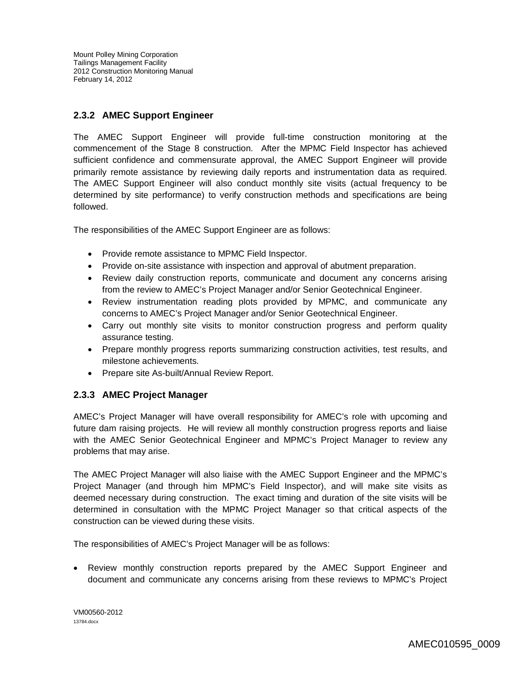# **2.3.2 AMEC Support Engineer**

The AMEC Support Engineer will provide full-time construction monitoring at the commencement of the Stage 8 construction. After the MPMC Field Inspector has achieved sufficient confidence and commensurate approval, the AMEC Support Engineer will provide primarily remote assistance by reviewing daily reports and instrumentation data as required. The AMEC Support Engineer will also conduct monthly site visits (actual frequency to be determined by site performance) to verify construction methods and specifications are being followed.

The responsibilities of the AMEC Support Engineer are as follows:

- Provide remote assistance to MPMC Field Inspector.
- Provide on-site assistance with inspection and approval of abutment preparation.
- Review daily construction reports, communicate and document any concerns arising from the review to AMEC's Project Manager and/or Senior Geotechnical Engineer.
- Review instrumentation reading plots provided by MPMC, and communicate any concerns to AMEC's Project Manager and/or Senior Geotechnical Engineer.
- Carry out monthly site visits to monitor construction progress and perform quality assurance testing.
- Prepare monthly progress reports summarizing construction activities, test results, and milestone achievements.
- Prepare site As-built/Annual Review Report.

#### **2.3.3 AMEC Project Manager**

AMEC's Project Manager will have overall responsibility for AMEC's role with upcoming and future dam raising projects. He will review all monthly construction progress reports and liaise with the AMEC Senior Geotechnical Engineer and MPMC's Project Manager to review any problems that may arise.

The AMEC Project Manager will also liaise with the AMEC Support Engineer and the MPMC's Project Manager (and through him MPMC's Field Inspector), and will make site visits as deemed necessary during construction. The exact timing and duration of the site visits will be determined in consultation with the MPMC Project Manager so that critical aspects of the construction can be viewed during these visits.

The responsibilities of AMEC's Project Manager will be as follows:

 Review monthly construction reports prepared by the AMEC Support Engineer and document and communicate any concerns arising from these reviews to MPMC's Project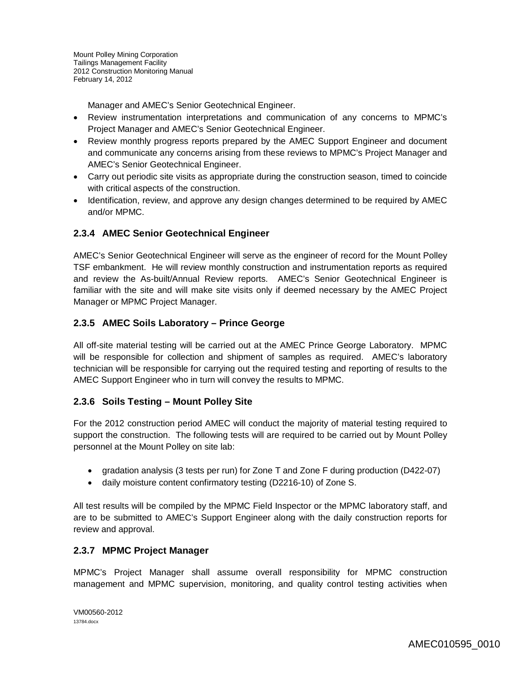Manager and AMEC's Senior Geotechnical Engineer.

- Review instrumentation interpretations and communication of any concerns to MPMC's Project Manager and AMEC's Senior Geotechnical Engineer.
- Review monthly progress reports prepared by the AMEC Support Engineer and document and communicate any concerns arising from these reviews to MPMC's Project Manager and AMEC's Senior Geotechnical Engineer.
- Carry out periodic site visits as appropriate during the construction season, timed to coincide with critical aspects of the construction.
- Identification, review, and approve any design changes determined to be required by AMEC and/or MPMC.

### **2.3.4 AMEC Senior Geotechnical Engineer**

AMEC's Senior Geotechnical Engineer will serve as the engineer of record for the Mount Polley TSF embankment. He will review monthly construction and instrumentation reports as required and review the As-built/Annual Review reports. AMEC's Senior Geotechnical Engineer is familiar with the site and will make site visits only if deemed necessary by the AMEC Project Manager or MPMC Project Manager.

### **2.3.5 AMEC Soils Laboratory – Prince George**

All off-site material testing will be carried out at the AMEC Prince George Laboratory. MPMC will be responsible for collection and shipment of samples as required. AMEC's laboratory technician will be responsible for carrying out the required testing and reporting of results to the AMEC Support Engineer who in turn will convey the results to MPMC.

### **2.3.6 Soils Testing – Mount Polley Site**

For the 2012 construction period AMEC will conduct the majority of material testing required to support the construction. The following tests will are required to be carried out by Mount Polley personnel at the Mount Polley on site lab:

- gradation analysis (3 tests per run) for Zone T and Zone F during production (D422-07)
- daily moisture content confirmatory testing (D2216-10) of Zone S.

All test results will be compiled by the MPMC Field Inspector or the MPMC laboratory staff, and are to be submitted to AMEC's Support Engineer along with the daily construction reports for review and approval.

### **2.3.7 MPMC Project Manager**

MPMC's Project Manager shall assume overall responsibility for MPMC construction management and MPMC supervision, monitoring, and quality control testing activities when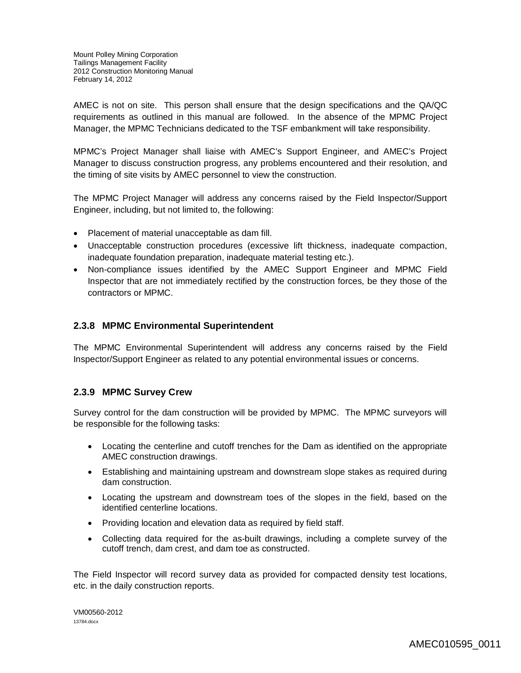AMEC is not on site. This person shall ensure that the design specifications and the QA/QC requirements as outlined in this manual are followed. In the absence of the MPMC Project Manager, the MPMC Technicians dedicated to the TSF embankment will take responsibility.

MPMC's Project Manager shall liaise with AMEC's Support Engineer, and AMEC's Project Manager to discuss construction progress, any problems encountered and their resolution, and the timing of site visits by AMEC personnel to view the construction.

The MPMC Project Manager will address any concerns raised by the Field Inspector/Support Engineer, including, but not limited to, the following:

- Placement of material unacceptable as dam fill.
- Unacceptable construction procedures (excessive lift thickness, inadequate compaction, inadequate foundation preparation, inadequate material testing etc.).
- Non-compliance issues identified by the AMEC Support Engineer and MPMC Field Inspector that are not immediately rectified by the construction forces, be they those of the contractors or MPMC.

### **2.3.8 MPMC Environmental Superintendent**

The MPMC Environmental Superintendent will address any concerns raised by the Field Inspector/Support Engineer as related to any potential environmental issues or concerns.

### **2.3.9 MPMC Survey Crew**

Survey control for the dam construction will be provided by MPMC. The MPMC surveyors will be responsible for the following tasks:

- Locating the centerline and cutoff trenches for the Dam as identified on the appropriate AMEC construction drawings.
- Establishing and maintaining upstream and downstream slope stakes as required during dam construction.
- Locating the upstream and downstream toes of the slopes in the field, based on the identified centerline locations.
- Providing location and elevation data as required by field staff.
- Collecting data required for the as-built drawings, including a complete survey of the cutoff trench, dam crest, and dam toe as constructed.

The Field Inspector will record survey data as provided for compacted density test locations, etc. in the daily construction reports.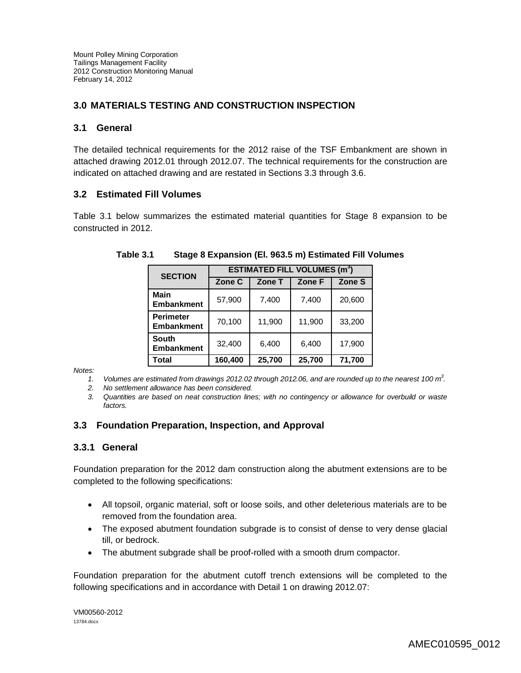### **3.0 MATERIALS TESTING AND CONSTRUCTION INSPECTION**

#### **3.1 General**

The detailed technical requirements for the 2012 raise of the TSF Embankment are shown in attached drawing 2012.01 through 2012.07. The technical requirements for the construction are indicated on attached drawing and are restated in Sections 3.3 through 3.6.

#### **3.2 Estimated Fill Volumes**

Table 3.1 below summarizes the estimated material quantities for Stage 8 expansion to be constructed in 2012.

| <b>SECTION</b>                        | <b>ESTIMATED FILL VOLUMES (m<sup>3</sup>)</b> |        |        |        |  |
|---------------------------------------|-----------------------------------------------|--------|--------|--------|--|
|                                       | Zone C                                        | Zone T | Zone F | Zone S |  |
| <b>Main</b><br><b>Embankment</b>      | 57,900                                        | 7,400  | 7,400  | 20,600 |  |
| <b>Perimeter</b><br><b>Embankment</b> | 70,100                                        | 11,900 | 11,900 | 33,200 |  |
| <b>South</b><br><b>Embankment</b>     | 32,400                                        | 6,400  | 6,400  | 17,900 |  |
| Total                                 | 160,400                                       | 25,700 | 25,700 | 71,700 |  |

**Table 3.1 Stage 8 Expansion (El. 963.5 m) Estimated Fill Volumes**

*Notes:*

*1. Volumes are estimated from drawings 2012.02 through 2012.06, and are rounded up to the nearest 100 m<sup>3</sup> .* 

*2. No settlement allowance has been considered.*

*3. Quantities are based on neat construction lines; with no contingency or allowance for overbuild or waste factors.*

### **3.3 Foundation Preparation, Inspection, and Approval**

### **3.3.1 General**

Foundation preparation for the 2012 dam construction along the abutment extensions are to be completed to the following specifications:

- All topsoil, organic material, soft or loose soils, and other deleterious materials are to be removed from the foundation area.
- The exposed abutment foundation subgrade is to consist of dense to very dense glacial till, or bedrock.
- The abutment subgrade shall be proof-rolled with a smooth drum compactor.

Foundation preparation for the abutment cutoff trench extensions will be completed to the following specifications and in accordance with Detail 1 on drawing 2012.07: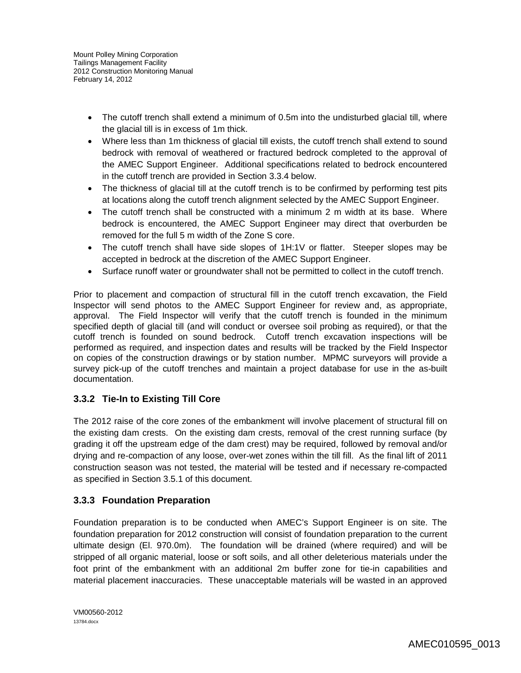- The cutoff trench shall extend a minimum of 0.5m into the undisturbed glacial till, where the glacial till is in excess of 1m thick.
- Where less than 1m thickness of glacial till exists, the cutoff trench shall extend to sound bedrock with removal of weathered or fractured bedrock completed to the approval of the AMEC Support Engineer. Additional specifications related to bedrock encountered in the cutoff trench are provided in Section 3.3.4 below.
- The thickness of glacial till at the cutoff trench is to be confirmed by performing test pits at locations along the cutoff trench alignment selected by the AMEC Support Engineer.
- The cutoff trench shall be constructed with a minimum 2 m width at its base. Where bedrock is encountered, the AMEC Support Engineer may direct that overburden be removed for the full 5 m width of the Zone S core.
- The cutoff trench shall have side slopes of 1H:1V or flatter. Steeper slopes may be accepted in bedrock at the discretion of the AMEC Support Engineer.
- Surface runoff water or groundwater shall not be permitted to collect in the cutoff trench.

Prior to placement and compaction of structural fill in the cutoff trench excavation, the Field Inspector will send photos to the AMEC Support Engineer for review and, as appropriate, approval. The Field Inspector will verify that the cutoff trench is founded in the minimum specified depth of glacial till (and will conduct or oversee soil probing as required), or that the cutoff trench is founded on sound bedrock. Cutoff trench excavation inspections will be performed as required, and inspection dates and results will be tracked by the Field Inspector on copies of the construction drawings or by station number. MPMC surveyors will provide a survey pick-up of the cutoff trenches and maintain a project database for use in the as-built documentation.

# **3.3.2 Tie-In to Existing Till Core**

The 2012 raise of the core zones of the embankment will involve placement of structural fill on the existing dam crests. On the existing dam crests, removal of the crest running surface (by grading it off the upstream edge of the dam crest) may be required, followed by removal and/or drying and re-compaction of any loose, over-wet zones within the till fill. As the final lift of 2011 construction season was not tested, the material will be tested and if necessary re-compacted as specified in Section 3.5.1 of this document.

# **3.3.3 Foundation Preparation**

Foundation preparation is to be conducted when AMEC's Support Engineer is on site. The foundation preparation for 2012 construction will consist of foundation preparation to the current ultimate design (El. 970.0m). The foundation will be drained (where required) and will be stripped of all organic material, loose or soft soils, and all other deleterious materials under the foot print of the embankment with an additional 2m buffer zone for tie-in capabilities and material placement inaccuracies. These unacceptable materials will be wasted in an approved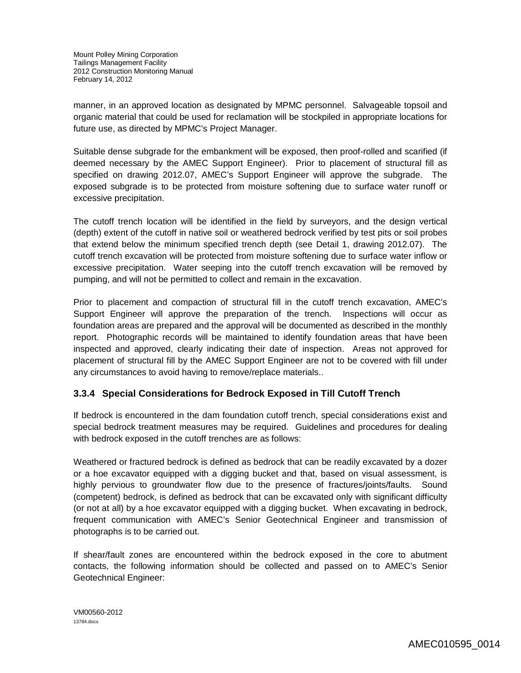manner, in an approved location as designated by MPMC personnel. Salvageable topsoil and organic material that could be used for reclamation will be stockpiled in appropriate locations for future use, as directed by MPMC's Project Manager.

Suitable dense subgrade for the embankment will be exposed, then proof-rolled and scarified (if deemed necessary by the AMEC Support Engineer). Prior to placement of structural fill as specified on drawing 2012.07, AMEC's Support Engineer will approve the subgrade. The exposed subgrade is to be protected from moisture softening due to surface water runoff or excessive precipitation.

The cutoff trench location will be identified in the field by surveyors, and the design vertical (depth) extent of the cutoff in native soil or weathered bedrock verified by test pits or soil probes that extend below the minimum specified trench depth (see Detail 1, drawing 2012.07). The cutoff trench excavation will be protected from moisture softening due to surface water inflow or excessive precipitation. Water seeping into the cutoff trench excavation will be removed by pumping, and will not be permitted to collect and remain in the excavation.

Prior to placement and compaction of structural fill in the cutoff trench excavation, AMEC's Support Engineer will approve the preparation of the trench. Inspections will occur as foundation areas are prepared and the approval will be documented as described in the monthly report. Photographic records will be maintained to identify foundation areas that have been inspected and approved, clearly indicating their date of inspection. Areas not approved for placement of structural fill by the AMEC Support Engineer are not to be covered with fill under any circumstances to avoid having to remove/replace materials..

### **3.3.4 Special Considerations for Bedrock Exposed in Till Cutoff Trench**

If bedrock is encountered in the dam foundation cutoff trench, special considerations exist and special bedrock treatment measures may be required. Guidelines and procedures for dealing with bedrock exposed in the cutoff trenches are as follows:

Weathered or fractured bedrock is defined as bedrock that can be readily excavated by a dozer or a hoe excavator equipped with a digging bucket and that, based on visual assessment, is highly pervious to groundwater flow due to the presence of fractures/joints/faults. Sound (competent) bedrock, is defined as bedrock that can be excavated only with significant difficulty (or not at all) by a hoe excavator equipped with a digging bucket. When excavating in bedrock, frequent communication with AMEC's Senior Geotechnical Engineer and transmission of photographs is to be carried out.

If shear/fault zones are encountered within the bedrock exposed in the core to abutment contacts, the following information should be collected and passed on to AMEC's Senior Geotechnical Engineer: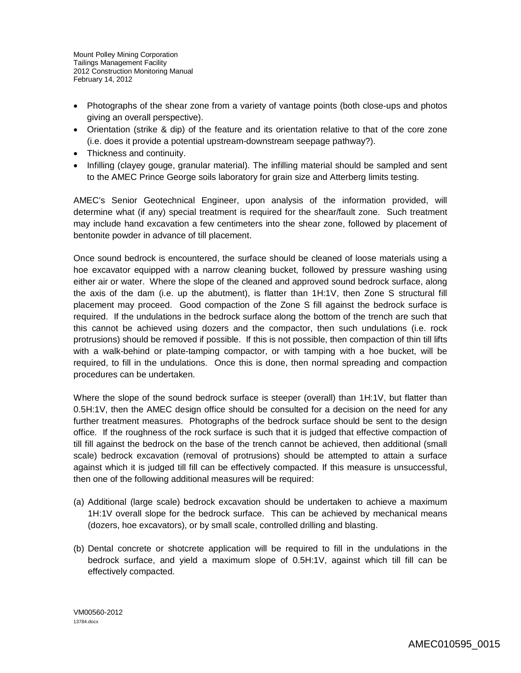- Photographs of the shear zone from a variety of vantage points (both close-ups and photos giving an overall perspective).
- Orientation (strike & dip) of the feature and its orientation relative to that of the core zone (i.e. does it provide a potential upstream-downstream seepage pathway?).
- Thickness and continuity.
- Infilling (clayey gouge, granular material). The infilling material should be sampled and sent to the AMEC Prince George soils laboratory for grain size and Atterberg limits testing.

AMEC's Senior Geotechnical Engineer, upon analysis of the information provided, will determine what (if any) special treatment is required for the shear/fault zone. Such treatment may include hand excavation a few centimeters into the shear zone, followed by placement of bentonite powder in advance of till placement.

Once sound bedrock is encountered, the surface should be cleaned of loose materials using a hoe excavator equipped with a narrow cleaning bucket, followed by pressure washing using either air or water. Where the slope of the cleaned and approved sound bedrock surface, along the axis of the dam (i.e. up the abutment), is flatter than 1H:1V, then Zone S structural fill placement may proceed. Good compaction of the Zone S fill against the bedrock surface is required. If the undulations in the bedrock surface along the bottom of the trench are such that this cannot be achieved using dozers and the compactor, then such undulations (i.e. rock protrusions) should be removed if possible. If this is not possible, then compaction of thin till lifts with a walk-behind or plate-tamping compactor, or with tamping with a hoe bucket, will be required, to fill in the undulations. Once this is done, then normal spreading and compaction procedures can be undertaken.

Where the slope of the sound bedrock surface is steeper (overall) than 1H:1V, but flatter than 0.5H:1V, then the AMEC design office should be consulted for a decision on the need for any further treatment measures. Photographs of the bedrock surface should be sent to the design office. If the roughness of the rock surface is such that it is judged that effective compaction of till fill against the bedrock on the base of the trench cannot be achieved, then additional (small scale) bedrock excavation (removal of protrusions) should be attempted to attain a surface against which it is judged till fill can be effectively compacted. If this measure is unsuccessful, then one of the following additional measures will be required:

- (a) Additional (large scale) bedrock excavation should be undertaken to achieve a maximum 1H:1V overall slope for the bedrock surface. This can be achieved by mechanical means (dozers, hoe excavators), or by small scale, controlled drilling and blasting.
- (b) Dental concrete or shotcrete application will be required to fill in the undulations in the bedrock surface, and yield a maximum slope of 0.5H:1V, against which till fill can be effectively compacted.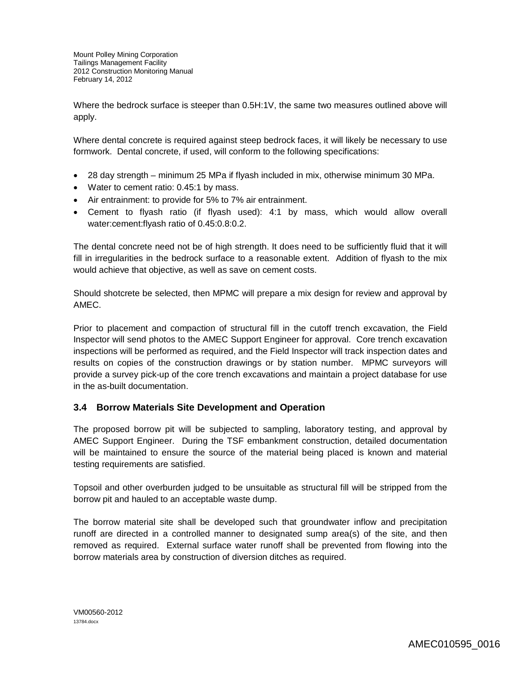Where the bedrock surface is steeper than 0.5H:1V, the same two measures outlined above will apply.

Where dental concrete is required against steep bedrock faces, it will likely be necessary to use formwork. Dental concrete, if used, will conform to the following specifications:

- 28 day strength minimum 25 MPa if flyash included in mix, otherwise minimum 30 MPa.
- Water to cement ratio: 0.45:1 by mass.
- Air entrainment: to provide for 5% to 7% air entrainment.
- Cement to flyash ratio (if flyash used): 4:1 by mass, which would allow overall water:cement:flyash ratio of 0.45:0.8:0.2.

The dental concrete need not be of high strength. It does need to be sufficiently fluid that it will fill in irregularities in the bedrock surface to a reasonable extent. Addition of flyash to the mix would achieve that objective, as well as save on cement costs.

Should shotcrete be selected, then MPMC will prepare a mix design for review and approval by AMEC.

Prior to placement and compaction of structural fill in the cutoff trench excavation, the Field Inspector will send photos to the AMEC Support Engineer for approval. Core trench excavation inspections will be performed as required, and the Field Inspector will track inspection dates and results on copies of the construction drawings or by station number. MPMC surveyors will provide a survey pick-up of the core trench excavations and maintain a project database for use in the as-built documentation.

### **3.4 Borrow Materials Site Development and Operation**

The proposed borrow pit will be subjected to sampling, laboratory testing, and approval by AMEC Support Engineer. During the TSF embankment construction, detailed documentation will be maintained to ensure the source of the material being placed is known and material testing requirements are satisfied.

Topsoil and other overburden judged to be unsuitable as structural fill will be stripped from the borrow pit and hauled to an acceptable waste dump.

The borrow material site shall be developed such that groundwater inflow and precipitation runoff are directed in a controlled manner to designated sump area(s) of the site, and then removed as required. External surface water runoff shall be prevented from flowing into the borrow materials area by construction of diversion ditches as required.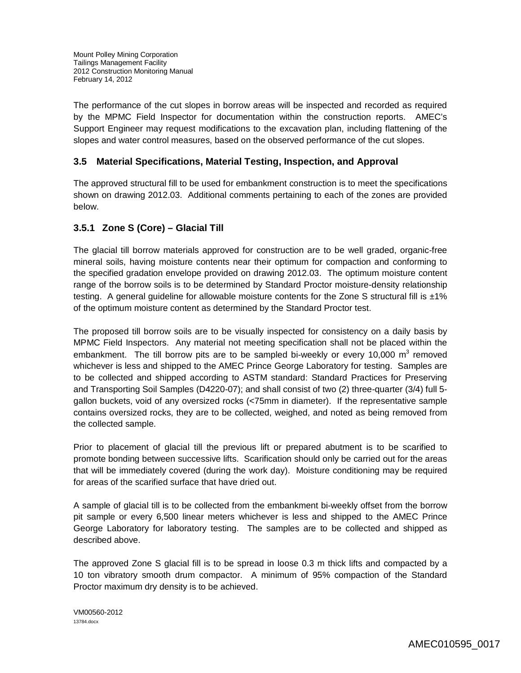The performance of the cut slopes in borrow areas will be inspected and recorded as required by the MPMC Field Inspector for documentation within the construction reports. AMEC's Support Engineer may request modifications to the excavation plan, including flattening of the slopes and water control measures, based on the observed performance of the cut slopes.

### **3.5 Material Specifications, Material Testing, Inspection, and Approval**

The approved structural fill to be used for embankment construction is to meet the specifications shown on drawing 2012.03. Additional comments pertaining to each of the zones are provided below.

### **3.5.1 Zone S (Core) – Glacial Till**

The glacial till borrow materials approved for construction are to be well graded, organic-free mineral soils, having moisture contents near their optimum for compaction and conforming to the specified gradation envelope provided on drawing 2012.03. The optimum moisture content range of the borrow soils is to be determined by Standard Proctor moisture-density relationship testing. A general guideline for allowable moisture contents for the Zone S structural fill is  $\pm 1\%$ of the optimum moisture content as determined by the Standard Proctor test.

The proposed till borrow soils are to be visually inspected for consistency on a daily basis by MPMC Field Inspectors. Any material not meeting specification shall not be placed within the embankment. The till borrow pits are to be sampled bi-weekly or every 10,000  $m^3$  removed whichever is less and shipped to the AMEC Prince George Laboratory for testing. Samples are to be collected and shipped according to ASTM standard: Standard Practices for Preserving and Transporting Soil Samples (D4220-07); and shall consist of two (2) three-quarter (3/4) full 5 gallon buckets, void of any oversized rocks (<75mm in diameter). If the representative sample contains oversized rocks, they are to be collected, weighed, and noted as being removed from the collected sample.

Prior to placement of glacial till the previous lift or prepared abutment is to be scarified to promote bonding between successive lifts. Scarification should only be carried out for the areas that will be immediately covered (during the work day). Moisture conditioning may be required for areas of the scarified surface that have dried out.

A sample of glacial till is to be collected from the embankment bi-weekly offset from the borrow pit sample or every 6,500 linear meters whichever is less and shipped to the AMEC Prince George Laboratory for laboratory testing. The samples are to be collected and shipped as described above.

The approved Zone S glacial fill is to be spread in loose 0.3 m thick lifts and compacted by a 10 ton vibratory smooth drum compactor. A minimum of 95% compaction of the Standard Proctor maximum dry density is to be achieved.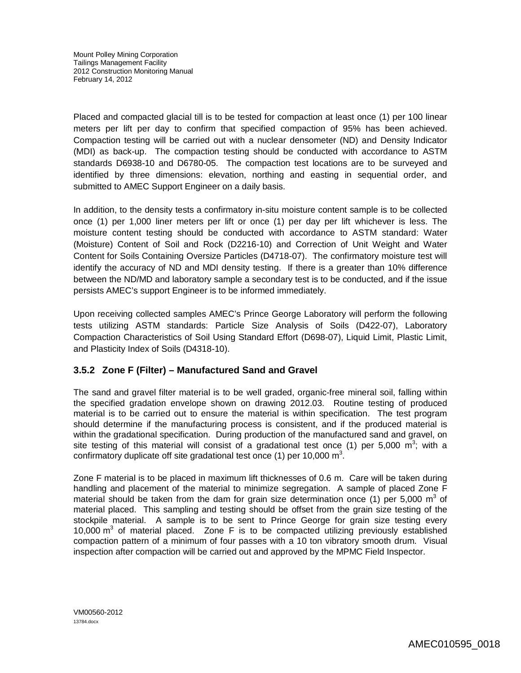Placed and compacted glacial till is to be tested for compaction at least once (1) per 100 linear meters per lift per day to confirm that specified compaction of 95% has been achieved. Compaction testing will be carried out with a nuclear densometer (ND) and Density Indicator (MDI) as back-up. The compaction testing should be conducted with accordance to ASTM standards D6938-10 and D6780-05. The compaction test locations are to be surveyed and identified by three dimensions: elevation, northing and easting in sequential order, and submitted to AMEC Support Engineer on a daily basis.

In addition, to the density tests a confirmatory in-situ moisture content sample is to be collected once (1) per 1,000 liner meters per lift or once (1) per day per lift whichever is less. The moisture content testing should be conducted with accordance to ASTM standard: Water (Moisture) Content of Soil and Rock (D2216-10) and Correction of Unit Weight and Water Content for Soils Containing Oversize Particles (D4718-07). The confirmatory moisture test will identify the accuracy of ND and MDI density testing. If there is a greater than 10% difference between the ND/MD and laboratory sample a secondary test is to be conducted, and if the issue persists AMEC's support Engineer is to be informed immediately.

Upon receiving collected samples AMEC's Prince George Laboratory will perform the following tests utilizing ASTM standards: Particle Size Analysis of Soils (D422-07), Laboratory Compaction Characteristics of Soil Using Standard Effort (D698-07), Liquid Limit, Plastic Limit, and Plasticity Index of Soils (D4318-10).

### **3.5.2 Zone F (Filter) – Manufactured Sand and Gravel**

The sand and gravel filter material is to be well graded, organic-free mineral soil, falling within the specified gradation envelope shown on drawing 2012.03. Routine testing of produced material is to be carried out to ensure the material is within specification. The test program should determine if the manufacturing process is consistent, and if the produced material is within the gradational specification. During production of the manufactured sand and gravel, on site testing of this material will consist of a gradational test once (1) per 5,000  $m^3$ ; with a confirmatory duplicate off site gradational test once (1) per 10,000  $\text{m}^3$ .

Zone F material is to be placed in maximum lift thicknesses of 0.6 m. Care will be taken during handling and placement of the material to minimize segregation. A sample of placed Zone F material should be taken from the dam for grain size determination once (1) per 5,000  $m^3$  of material placed. This sampling and testing should be offset from the grain size testing of the stockpile material. A sample is to be sent to Prince George for grain size testing every 10,000  $m<sup>3</sup>$  of material placed. Zone F is to be compacted utilizing previously established compaction pattern of a minimum of four passes with a 10 ton vibratory smooth drum. Visual inspection after compaction will be carried out and approved by the MPMC Field Inspector.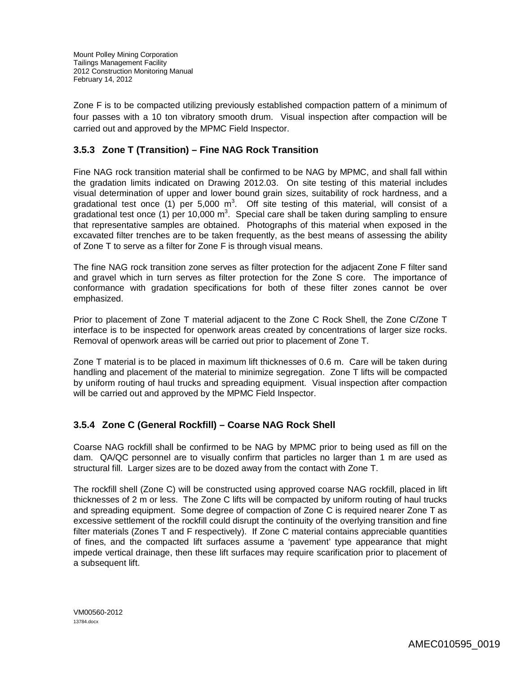Zone F is to be compacted utilizing previously established compaction pattern of a minimum of four passes with a 10 ton vibratory smooth drum. Visual inspection after compaction will be carried out and approved by the MPMC Field Inspector.

# **3.5.3 Zone T (Transition) – Fine NAG Rock Transition**

Fine NAG rock transition material shall be confirmed to be NAG by MPMC, and shall fall within the gradation limits indicated on Drawing 2012.03. On site testing of this material includes visual determination of upper and lower bound grain sizes, suitability of rock hardness, and a gradational test once (1) per 5,000 m<sup>3</sup>. Off site testing of this material, will consist of a gradational test once (1) per 10,000 m<sup>3</sup>. Special care shall be taken during sampling to ensure that representative samples are obtained. Photographs of this material when exposed in the excavated filter trenches are to be taken frequently, as the best means of assessing the ability of Zone T to serve as a filter for Zone F is through visual means.

The fine NAG rock transition zone serves as filter protection for the adjacent Zone F filter sand and gravel which in turn serves as filter protection for the Zone S core. The importance of conformance with gradation specifications for both of these filter zones cannot be over emphasized.

Prior to placement of Zone T material adjacent to the Zone C Rock Shell, the Zone C/Zone T interface is to be inspected for openwork areas created by concentrations of larger size rocks. Removal of openwork areas will be carried out prior to placement of Zone T.

Zone T material is to be placed in maximum lift thicknesses of 0.6 m. Care will be taken during handling and placement of the material to minimize segregation. Zone T lifts will be compacted by uniform routing of haul trucks and spreading equipment. Visual inspection after compaction will be carried out and approved by the MPMC Field Inspector.

### **3.5.4 Zone C (General Rockfill) – Coarse NAG Rock Shell**

Coarse NAG rockfill shall be confirmed to be NAG by MPMC prior to being used as fill on the dam. QA/QC personnel are to visually confirm that particles no larger than 1 m are used as structural fill. Larger sizes are to be dozed away from the contact with Zone T.

The rockfill shell (Zone C) will be constructed using approved coarse NAG rockfill, placed in lift thicknesses of 2 m or less. The Zone C lifts will be compacted by uniform routing of haul trucks and spreading equipment. Some degree of compaction of Zone C is required nearer Zone T as excessive settlement of the rockfill could disrupt the continuity of the overlying transition and fine filter materials (Zones T and F respectively). If Zone C material contains appreciable quantities of fines, and the compacted lift surfaces assume a 'pavement' type appearance that might impede vertical drainage, then these lift surfaces may require scarification prior to placement of a subsequent lift.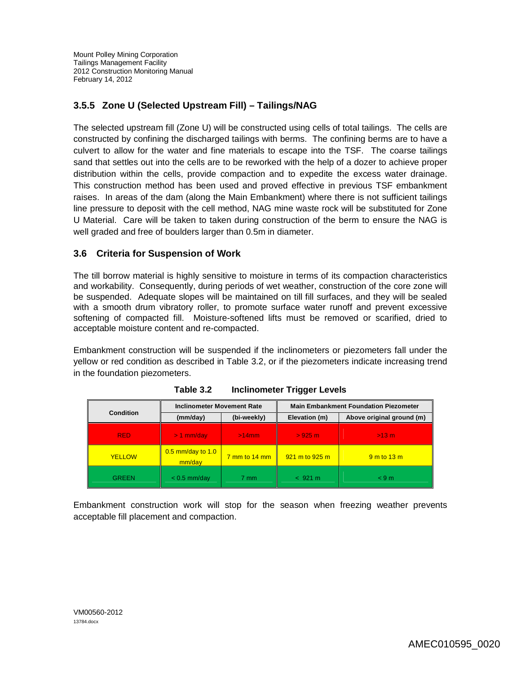# **3.5.5 Zone U (Selected Upstream Fill) – Tailings/NAG**

The selected upstream fill (Zone U) will be constructed using cells of total tailings. The cells are constructed by confining the discharged tailings with berms. The confining berms are to have a culvert to allow for the water and fine materials to escape into the TSF. The coarse tailings sand that settles out into the cells are to be reworked with the help of a dozer to achieve proper distribution within the cells, provide compaction and to expedite the excess water drainage. This construction method has been used and proved effective in previous TSF embankment raises. In areas of the dam (along the Main Embankment) where there is not sufficient tailings line pressure to deposit with the cell method, NAG mine waste rock will be substituted for Zone U Material. Care will be taken to taken during construction of the berm to ensure the NAG is well graded and free of boulders larger than 0.5m in diameter.

### **3.6 Criteria for Suspension of Work**

The till borrow material is highly sensitive to moisture in terms of its compaction characteristics and workability. Consequently, during periods of wet weather, construction of the core zone will be suspended. Adequate slopes will be maintained on till fill surfaces, and they will be sealed with a smooth drum vibratory roller, to promote surface water runoff and prevent excessive softening of compacted fill. Moisture-softened lifts must be removed or scarified, dried to acceptable moisture content and re-compacted.

Embankment construction will be suspended if the inclinometers or piezometers fall under the yellow or red condition as described in Table 3.2, or if the piezometers indicate increasing trend in the foundation piezometers.

|                  | <b>Inclinometer Movement Rate</b> |                                      | <b>Main Embankment Foundation Piezometer</b> |                           |
|------------------|-----------------------------------|--------------------------------------|----------------------------------------------|---------------------------|
| <b>Condition</b> | (mm/day)                          | (bi-weekly)                          | Elevation (m)                                | Above original ground (m) |
| RED.             | $> 1$ mm/day                      | $>14$ mm                             | $>925$ m                                     | $>13$ m                   |
| <b>YELLOW</b>    | 0.5 mm/day to 1.0<br>mm/day       | $\frac{7 \text{ mm}}{2}$ mm to 14 mm | 921 m to 925 m                               | $9m$ to $13m$             |
| GREEN            | $< 0.5$ mm/day                    | 7 mm                                 | < 921 m                                      | < 9m                      |

**Table 3.2 Inclinometer Trigger Levels**

Embankment construction work will stop for the season when freezing weather prevents acceptable fill placement and compaction.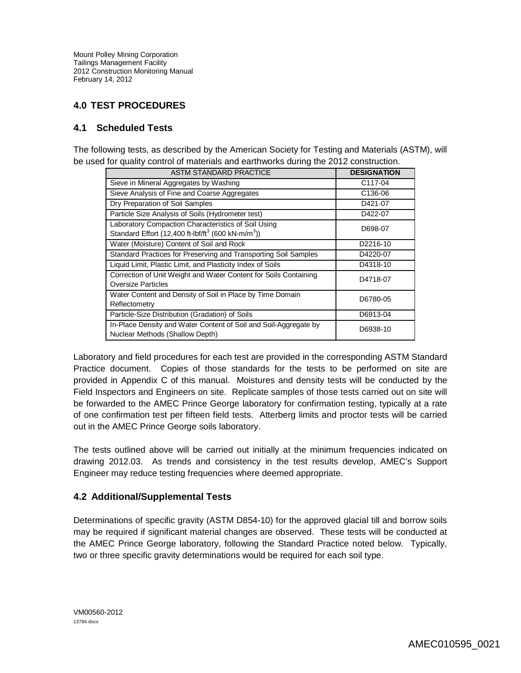### **4.0 TEST PROCEDURES**

### **4.1 Scheduled Tests**

The following tests, as described by the American Society for Testing and Materials (ASTM), will be used for quality control of materials and earthworks during the 2012 construction.

| <b>ASTM STANDARD PRACTICE</b>                                                                                                     | <b>DESIGNATION</b>   |
|-----------------------------------------------------------------------------------------------------------------------------------|----------------------|
| Sieve in Mineral Aggregates by Washing                                                                                            | C117-04              |
| Sieve Analysis of Fine and Coarse Aggregates                                                                                      | C <sub>136</sub> -06 |
| Dry Preparation of Soil Samples                                                                                                   | D421-07              |
| Particle Size Analysis of Soils (Hydrometer test)                                                                                 | D422-07              |
| Laboratory Compaction Characteristics of Soil Using<br>Standard Effort (12,400 ft-lbf/ft <sup>3</sup> (600 kN-m/m <sup>3</sup> )) | D698-07              |
| Water (Moisture) Content of Soil and Rock                                                                                         | D2216-10             |
| Standard Practices for Preserving and Transporting Soil Samples                                                                   | D4220-07             |
| Liquid Limit, Plastic Limit, and Plasticity Index of Soils                                                                        | D4318-10             |
| Correction of Unit Weight and Water Content for Soils Containing<br><b>Oversize Particles</b>                                     | D4718-07             |
| Water Content and Density of Soil in Place by Time Domain<br>Reflectometry                                                        | D6780-05             |
| Particle-Size Distribution (Gradation) of Soils                                                                                   | D6913-04             |
| In-Place Density and Water Content of Soil and Soil-Aggregate by<br>Nuclear Methods (Shallow Depth)                               | D6938-10             |

Laboratory and field procedures for each test are provided in the corresponding ASTM Standard Practice document. Copies of those standards for the tests to be performed on site are provided in Appendix C of this manual. Moistures and density tests will be conducted by the Field Inspectors and Engineers on site. Replicate samples of those tests carried out on site will be forwarded to the AMEC Prince George laboratory for confirmation testing, typically at a rate of one confirmation test per fifteen field tests. Atterberg limits and proctor tests will be carried out in the AMEC Prince George soils laboratory.

The tests outlined above will be carried out initially at the minimum frequencies indicated on drawing 2012.03. As trends and consistency in the test results develop, AMEC's Support Engineer may reduce testing frequencies where deemed appropriate.

### **4.2 Additional/Supplemental Tests**

Determinations of specific gravity (ASTM D854-10) for the approved glacial till and borrow soils may be required if significant material changes are observed. These tests will be conducted at the AMEC Prince George laboratory, following the Standard Practice noted below. Typically, two or three specific gravity determinations would be required for each soil type.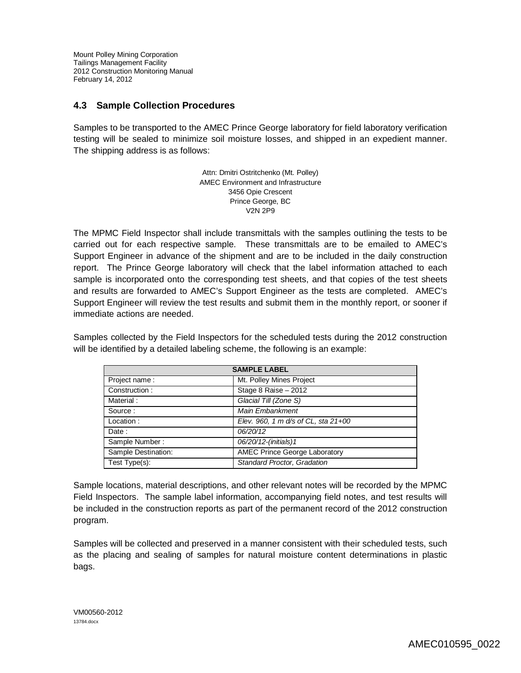### **4.3 Sample Collection Procedures**

Samples to be transported to the AMEC Prince George laboratory for field laboratory verification testing will be sealed to minimize soil moisture losses, and shipped in an expedient manner. The shipping address is as follows:

> Attn: Dmitri Ostritchenko (Mt. Polley) AMEC Environment and Infrastructure 3456 Opie Crescent Prince George, BC V2N 2P9

The MPMC Field Inspector shall include transmittals with the samples outlining the tests to be carried out for each respective sample. These transmittals are to be emailed to AMEC's Support Engineer in advance of the shipment and are to be included in the daily construction report. The Prince George laboratory will check that the label information attached to each sample is incorporated onto the corresponding test sheets, and that copies of the test sheets and results are forwarded to AMEC's Support Engineer as the tests are completed. AMEC's Support Engineer will review the test results and submit them in the monthly report, or sooner if immediate actions are needed.

Samples collected by the Field Inspectors for the scheduled tests during the 2012 construction will be identified by a detailed labeling scheme, the following is an example:

| <b>SAMPLE LABEL</b> |                                      |  |  |
|---------------------|--------------------------------------|--|--|
| Project name:       | Mt. Polley Mines Project             |  |  |
| Construction:       | Stage 8 Raise - 2012                 |  |  |
| Material:           | Glacial Till (Zone S)                |  |  |
| Source:             | Main Embankment                      |  |  |
| Location:           | Elev. 960, 1 m d/s of CL, sta 21+00  |  |  |
| Date:               | 06/20/12                             |  |  |
| Sample Number:      | 06/20/12-(initials)1                 |  |  |
| Sample Destination: | <b>AMEC Prince George Laboratory</b> |  |  |
| Test Type(s):       | <b>Standard Proctor, Gradation</b>   |  |  |

Sample locations, material descriptions, and other relevant notes will be recorded by the MPMC Field Inspectors. The sample label information, accompanying field notes, and test results will be included in the construction reports as part of the permanent record of the 2012 construction program.

Samples will be collected and preserved in a manner consistent with their scheduled tests, such as the placing and sealing of samples for natural moisture content determinations in plastic bags.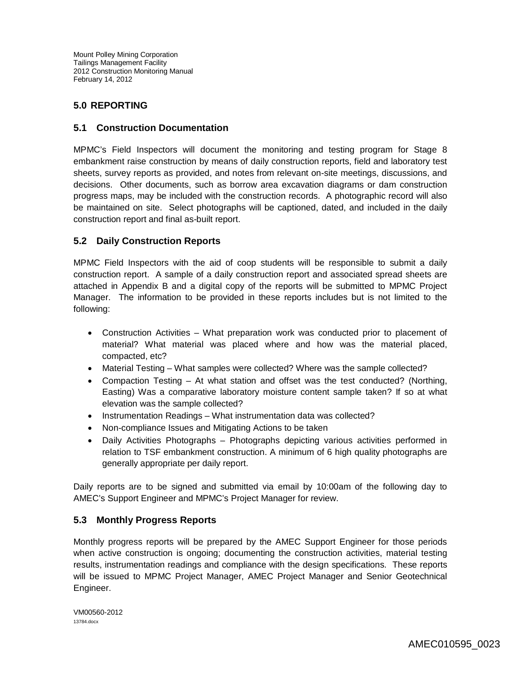### **5.0 REPORTING**

### **5.1 Construction Documentation**

MPMC's Field Inspectors will document the monitoring and testing program for Stage 8 embankment raise construction by means of daily construction reports, field and laboratory test sheets, survey reports as provided, and notes from relevant on-site meetings, discussions, and decisions. Other documents, such as borrow area excavation diagrams or dam construction progress maps, may be included with the construction records. A photographic record will also be maintained on site. Select photographs will be captioned, dated, and included in the daily construction report and final as-built report.

### **5.2 Daily Construction Reports**

MPMC Field Inspectors with the aid of coop students will be responsible to submit a daily construction report. A sample of a daily construction report and associated spread sheets are attached in Appendix B and a digital copy of the reports will be submitted to MPMC Project Manager. The information to be provided in these reports includes but is not limited to the following:

- Construction Activities What preparation work was conducted prior to placement of material? What material was placed where and how was the material placed, compacted, etc?
- Material Testing What samples were collected? Where was the sample collected?
- Compaction Testing At what station and offset was the test conducted? (Northing, Easting) Was a comparative laboratory moisture content sample taken? If so at what elevation was the sample collected?
- Instrumentation Readings What instrumentation data was collected?
- Non-compliance Issues and Mitigating Actions to be taken
- Daily Activities Photographs Photographs depicting various activities performed in relation to TSF embankment construction. A minimum of 6 high quality photographs are generally appropriate per daily report.

Daily reports are to be signed and submitted via email by 10:00am of the following day to AMEC's Support Engineer and MPMC's Project Manager for review.

### **5.3 Monthly Progress Reports**

Monthly progress reports will be prepared by the AMEC Support Engineer for those periods when active construction is ongoing; documenting the construction activities, material testing results, instrumentation readings and compliance with the design specifications. These reports will be issued to MPMC Project Manager, AMEC Project Manager and Senior Geotechnical Engineer.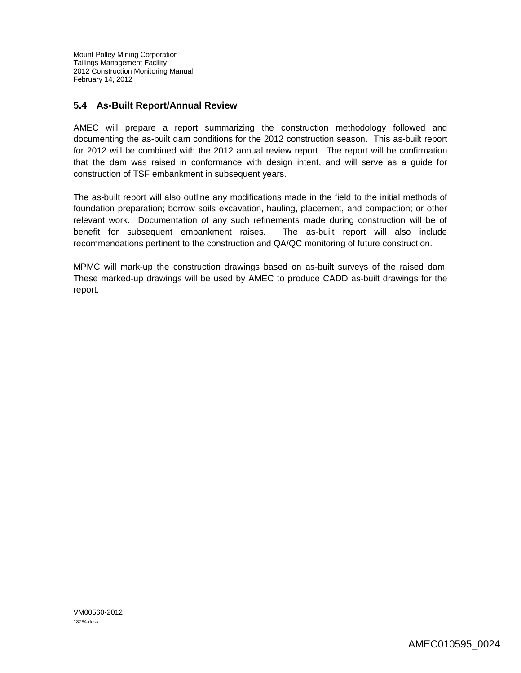### **5.4 As-Built Report/Annual Review**

AMEC will prepare a report summarizing the construction methodology followed and documenting the as-built dam conditions for the 2012 construction season. This as-built report for 2012 will be combined with the 2012 annual review report. The report will be confirmation that the dam was raised in conformance with design intent, and will serve as a guide for construction of TSF embankment in subsequent years.

The as-built report will also outline any modifications made in the field to the initial methods of foundation preparation; borrow soils excavation, hauling, placement, and compaction; or other relevant work. Documentation of any such refinements made during construction will be of benefit for subsequent embankment raises. The as-built report will also include recommendations pertinent to the construction and QA/QC monitoring of future construction.

MPMC will mark-up the construction drawings based on as-built surveys of the raised dam. These marked-up drawings will be used by AMEC to produce CADD as-built drawings for the report.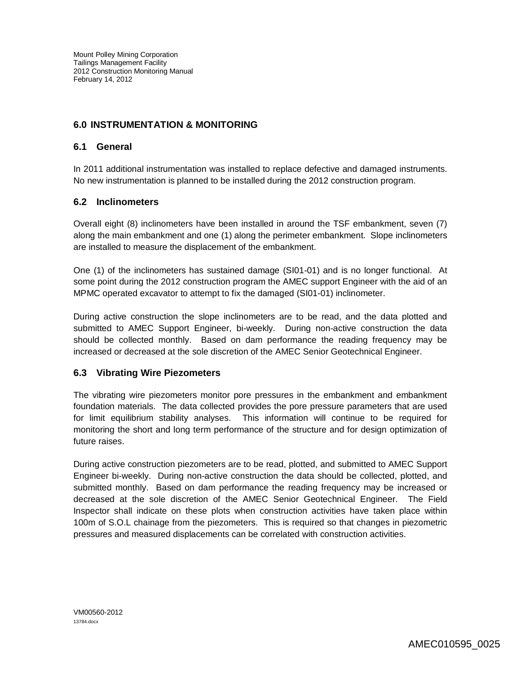### **6.0 INSTRUMENTATION & MONITORING**

### **6.1 General**

In 2011 additional instrumentation was installed to replace defective and damaged instruments. No new instrumentation is planned to be installed during the 2012 construction program.

### **6.2 Inclinometers**

Overall eight (8) inclinometers have been installed in around the TSF embankment, seven (7) along the main embankment and one (1) along the perimeter embankment. Slope inclinometers are installed to measure the displacement of the embankment.

One (1) of the inclinometers has sustained damage (SI01-01) and is no longer functional. At some point during the 2012 construction program the AMEC support Engineer with the aid of an MPMC operated excavator to attempt to fix the damaged (SI01-01) inclinometer.

During active construction the slope inclinometers are to be read, and the data plotted and submitted to AMEC Support Engineer, bi-weekly. During non-active construction the data should be collected monthly. Based on dam performance the reading frequency may be increased or decreased at the sole discretion of the AMEC Senior Geotechnical Engineer.

### **6.3 Vibrating Wire Piezometers**

The vibrating wire piezometers monitor pore pressures in the embankment and embankment foundation materials. The data collected provides the pore pressure parameters that are used for limit equilibrium stability analyses. This information will continue to be required for monitoring the short and long term performance of the structure and for design optimization of future raises.

During active construction piezometers are to be read, plotted, and submitted to AMEC Support Engineer bi-weekly. During non-active construction the data should be collected, plotted, and submitted monthly. Based on dam performance the reading frequency may be increased or decreased at the sole discretion of the AMEC Senior Geotechnical Engineer. The Field Inspector shall indicate on these plots when construction activities have taken place within 100m of S.O.L chainage from the piezometers. This is required so that changes in piezometric pressures and measured displacements can be correlated with construction activities.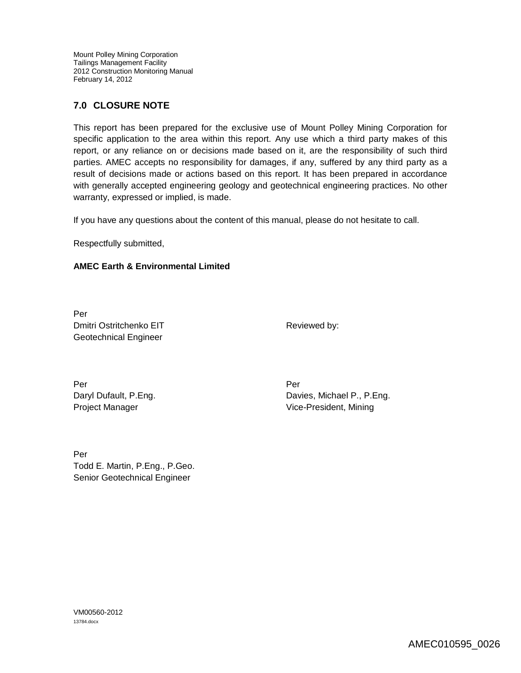### **7.0 CLOSURE NOTE**

This report has been prepared for the exclusive use of Mount Polley Mining Corporation for specific application to the area within this report. Any use which a third party makes of this report, or any reliance on or decisions made based on it, are the responsibility of such third parties. AMEC accepts no responsibility for damages, if any, suffered by any third party as a result of decisions made or actions based on this report. It has been prepared in accordance with generally accepted engineering geology and geotechnical engineering practices. No other warranty, expressed or implied, is made.

If you have any questions about the content of this manual, please do not hesitate to call.

Respectfully submitted,

#### **AMEC Earth & Environmental Limited**

Per Dmitri Ostritchenko EIT Geotechnical Engineer

Reviewed by:

Per Per Daryl Dufault, P.Eng. Project Manager

Davies, Michael P., P.Eng. Vice-President, Mining

Per Todd E. Martin, P.Eng., P.Geo. Senior Geotechnical Engineer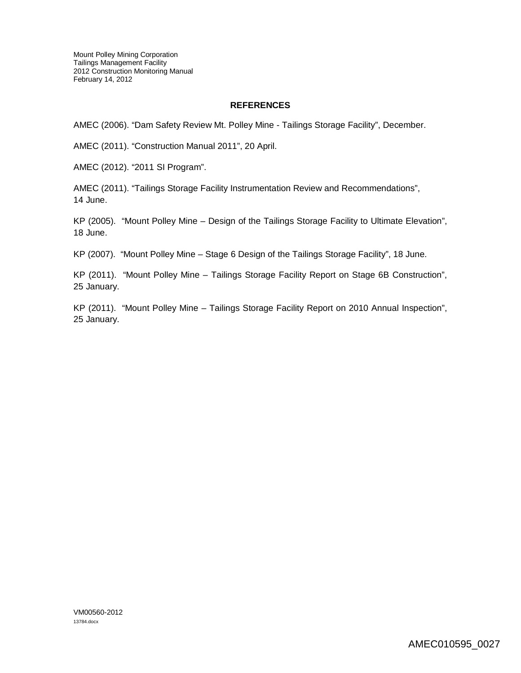#### **REFERENCES**

AMEC (2006). "Dam Safety Review Mt. Polley Mine - Tailings Storage Facility", December.

AMEC (2011). "Construction Manual 2011", 20 April.

AMEC (2012). "2011 SI Program".

AMEC (2011). "Tailings Storage Facility Instrumentation Review and Recommendations", 14 June.

KP (2005). "Mount Polley Mine – Design of the Tailings Storage Facility to Ultimate Elevation", 18 June.

KP (2007). "Mount Polley Mine – Stage 6 Design of the Tailings Storage Facility", 18 June.

KP (2011). "Mount Polley Mine – Tailings Storage Facility Report on Stage 6B Construction", 25 January.

KP (2011). "Mount Polley Mine – Tailings Storage Facility Report on 2010 Annual Inspection", 25 January.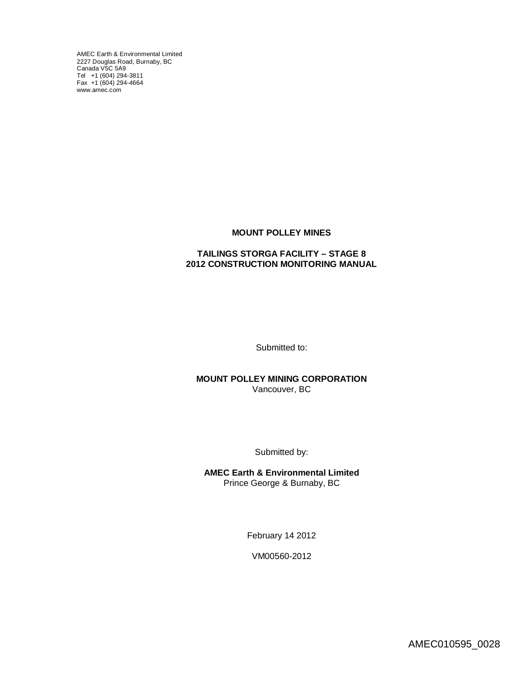AMEC Earth & Environmental Limited 2227 Douglas Road, Burnaby, BC [Canada V5C](http://www.amec.com) 5A9 Tel +1 (604) 294-3811 Fax +1 (604) 294-4664 www.amec.com

#### **MOUNT POLLEY MINES**

#### **TAILINGS STORGA FACILITY – STAGE 8 2012 CONSTRUCTION MONITORING MANUAL**

Submitted to:

**MOUNT POLLEY MINING CORPORATION** Vancouver, BC

Submitted by:

**AMEC Earth & Environmental Limited** Prince George & Burnaby, BC

February 14 2012

VM00560-2012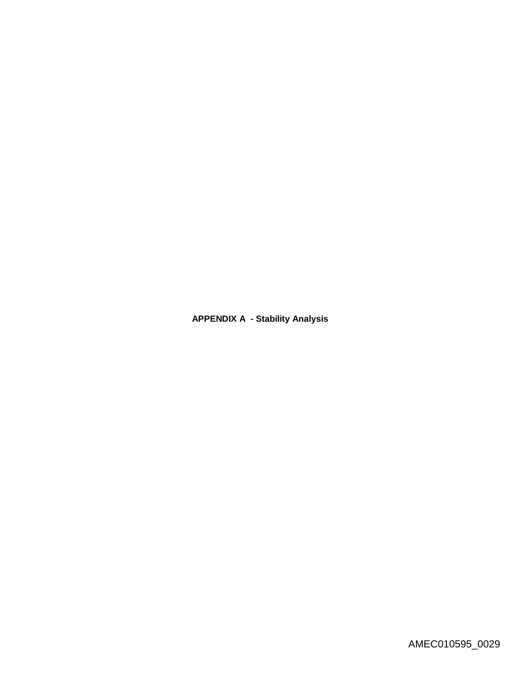**APPENDIX A - Stability Analysis**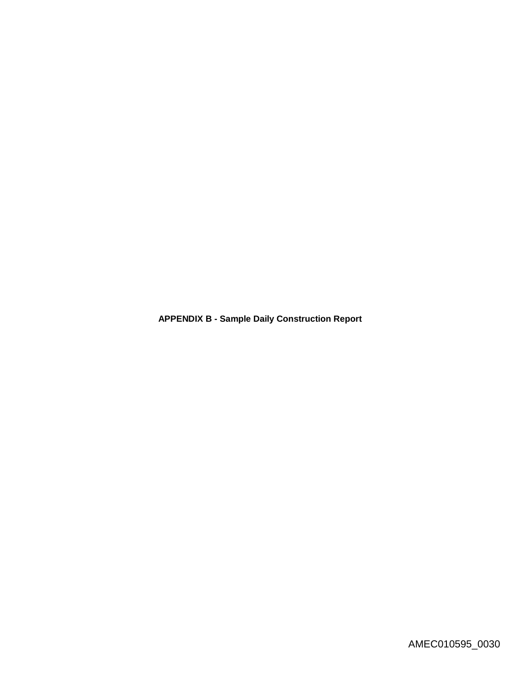**APPENDIX B - Sample Daily Construction Report**